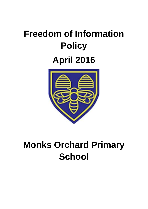# **Freedom of Information Policy April 2016**



# **Monks Orchard Primary School**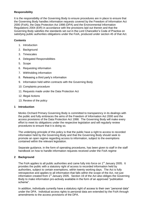# **Responsibility**

It is the responsibility of the Governing Body to ensure procedures are in place to ensure that the Governing Body handles information requests covered by the Freedom of Information Act 2000 (FoIA), the Data Protection Act 1998 (DPA) and the Environmental Information Regulations 2004 (EIR) in accordance with the provisions laid out therein and that the Governing Body satisfies the standards set out in the Lord Chancellor's Code of Practice on satisfying public authorities obligations under the FoIA, produced under section 45 of that Act.

#### **Contents**

- 1. Introduction
- 2. Background
- 3. Timescales
- 4. Delegated Responsibilities
- 5. Scope
- 6. Requesting information
- 7. Withholding information
- 8. Releasing a third party's information
- 9. Information held within contracts with the Governing Body
- 10. Complaints procedure
- 11. Requests made under the Data Protection Act
- 12. Illegal Actions
- 13. Review of the policy

#### **1 Introduction**

Monks Orchard Primary Governing Body is committed to transparency in its dealings with the public and fully embraces the aims of the Freedom of Information Act 2000 and the access provisions of the Data Protection Act 1998. The Governing Body will make every effort to meet its obligations under the respective legislation and will regularly review procedures to ensure that it is doing so.

The underlying principle of this policy is that the public have a right to access to recorded information held by the Governing Body and that the Governing Body should seek to promote an open regime regarding access to information, subject to the exemptions contained within the relevant legislation.

Separate guidance, in the form of operating procedures, has been given to staff in the staff handbook on how to handle information requests received under the FoIA regime

# **2 Background**

The FoIA applies to all public authorities and came fully into force on 1<sup>st</sup> January 2005. It provides the public with a statutory right of access to recorded information held by authorities, subject to certain exemptions, within twenty working days. The Act is fully retrospective and applies to all information that falls within the scope of the Act, not just information created from  $1<sup>st</sup>$  January 2005. Section 19 of the Act also obliges the Governing Body to make information pro-actively available in the form of an approved "publication scheme".

In addition, individuals currently have a statutory right of access to their own "personal data" under the DPA. Individual access rights to personal data are extended by the FoIA through amendments to the access provisions of the DPA.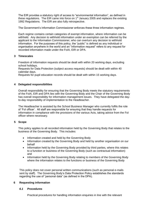The EIR provides a statutory right of access to "environmental information", as defined in these regulations. The EIR came into force on  $1<sup>st</sup>$  January 2005 and replaces the existing 1992 Regulations. The EIR are also fully retrospective.

The Government's Information Commissioner enforces these three information regimes.

Each regime contains certain categories of exempt information, where information can be withheld. Any decision to withhold information under an exemption can be referred by the applicant to the Information Commissioner, who can overturn any decision to withhold information. For the purposes of this policy, the "public" is defined as any individual or organisation anywhere in the world and an "information request" refers to any request for recorded information made under the FoIA, EIR or DPA.

# **3 Timescales**

Freedom of Information requests should be dealt with within 20 working days, excluding school holidays.

Requests for Data Protection (subject access requests) should be dealt with within 40 calendar days.

Requests for pupil education records should be dealt with within 15 working days.

# **4 Delegated responsibilities**

Overall responsibility for ensuring that the Governing Body meets the statutory requirements of the FoIA, EIR and DPA lies with the Governing Body and the Chair of the Governing Body has overall responsibility for information management issues. They have delegated the dayto-day responsibility of implementation to the Headteacher.

The Headteacher is assisted by the School Business Manager who currently fulfils the role of 'FoI officer'. All staff are responsible for ensuring that they handle requests for information in compliance with the provisions of the various Acts, taking advice from the FoI officer where necessary.

# **5 Scope**

This policy applies to all recorded information held by the Governing Body that relates to the business of the Governing Body. This includes:

- Information created and held by the Governing Body
- Information created by the Governing Body and held by another organisation on our behalf
- Information held by the Governing Body provided by third parties, where this relates to a function or business of the Governing Body (such as contractual information) and
- Information held by the Governing Body relating to members of the Governing Body where the information relates to the functions or business of the Governing Body

This policy does not cover personal written communications (such as personal e-mails sent by staff). The Governing Body's Data Protection Policy establishes the standards regarding the use of "personal data" (as defined in the DPA).

#### **6 Requesting information**

#### *6.1 Procedures*

Practical procedures for handling information enquiries in line with the relevant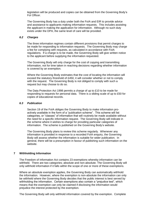legislation will be produced and copies can be obtained from the Governing Body's FoI Officer.

The Governing Body has a duty under both the FoIA and EIR to provide advice and assistance to applicants making information requests. This includes assisting the applicant in making the application for information. Although no such duty exists under the DPA, the same level of care will be provided.

#### *6.2 Charges*

The three information regimes contain different provisions that permit charges to be made for responding to information requests. The Governing Body may charge a fee for complying with requests, as calculated in accordance with FoIA regulations. If a charge is to be made, the Governing Body will give written notice to the applicant before supplying the information requested.

The Governing Body will only charge for the cost of copying and transmitting information, not for time taken in reaching decisions regarding whether information is covered by an exemption.

Where the Governing Body estimates that the cost of locating the information will exceed the statutory threshold of £450, it will consider whether or not to comply with the request. The Governing Body is not obliged to comply with such a request but may choose to do so.

The Data Protection Act 1998 permits a charge of up to £10 to be made for responding to requests for personal data. There is a sliding scale of up to £50 for copies of educational records.

#### *6.3 Publication*

Section 19 of the FoIA obliges the Governing Body to make information proactively available in the form of a "publication scheme". This scheme will list categories, or "classes" of information that will routinely be made available without the need for a specific information request. The Governing Body will indicate in the scheme where it wishes to charge for providing particular categories of information. The scheme is published on the Governing Body's website.

The Governing Body plans to review this scheme regularly. Whenever any information is provided in response to a recorded FoIA enquiry, the Governing Body will assess whether the information is suitable for wider publication. In general, there will be a presumption in favour of publishing such information on the website.

#### **7 Withholding Information**

The Freedom of Information Act contains 23 exemptions whereby information can be withheld. There are two categories; absolute and non-absolute. The Governing Body will only withhold information if it falls within the scope of one or more of these exemptions.

Where an absolute exemption applies, the Governing Body can automatically withhold the information. However, where the exemption is non-absolute the information can only be withheld where the Governing Body decides that the public interest is best served by withholding the information. Certain exemptions also contain a "prejudice test", which means that the exemption can only be claimed if disclosing the information would prejudice the interest protected by the exemption.

The Governing Body will only withhold information covered by the exemption. Complete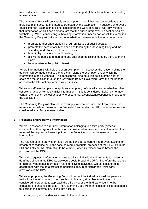files or documents will not be withheld just because part of the information is covered by an exemption.

The Governing Body will only apply an exemption where it has reason to believe that prejudice might occur to the interest protected by the exemption. In addition, wherever a "public interest" exemption is being considered, the Governing Body will only withhold that information which it can demonstrate that the public interest will be best served by withholding. When considering withholding information under a non-absolute exemption the Governing Body will take into account whether the release of the information would:

- promote further understanding of current issues of public debate;
- promote the accountability of decisions taken by the Governing Body and the spending and allocation of public money;
- bring to light matters of public safety;
- allows the public to understand and challenge decisions made by the Governing Body;
- be otherwise in the public interest.

Where information is withheld under an exemption in most cases the reason behind the decision will be made clear to the applicant, citing the exemption under which the information is being withheld. The applicant will also be given details of the right to challenge the decision through the Governing Body's Governing Body and the right of appeal to the Information Commissioner's Office.

Where a staff member plans to apply an exemption, he/she will consider whether other schools or academy's hold similar information. If this is considered likely, he/she may contact the relevant school/academy to ensure that a consistent response is provided to the applicant.

The Governing Body will also refuse to supply information under the FoIA, where the request is considered "vexatious" or "repeated" and under the EIR, where the request is considered 'manifestly unreasonable'.

#### **8 Releasing a third party's information**

Where, in response to a request, information belonging to a third party (either an individual or other organisation) has to be considered for release, the staff member that received the request will seek input from the FoI officer prior to the release of the information.

The release of third party information will be considered carefully to prevent actions for breach of confidence or, in the case of living individuals, breaches of the DPA. Both the EIR and FoIA permit information to be withheld when its release would breach the provisions of the DPA.

When the requested information relates to a living individual and amounts to "personal data" as defined in the DPA, its disclosure could breach the DPA. Therefore the release of third party personal information relating to living individuals will be considered in accordance with the data protection principles and, in particular, the "third party" provisions of the DPA.

Where appropriate, the Governing Body will contact the individual to ask for permission to disclose the information. If consent is not obtained, either because it was not considered appropriate to approach the third party or the third party could not be contacted or consent is refused. The Governing Body will then consider if it is reasonable to disclose the information, taking into account:

• any duty of confidentiality owed to the third party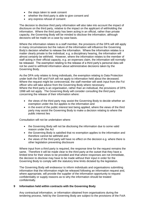- the steps taken to seek consent
- whether the third party is able to give consent and
- any express refusal of consent

The decision to disclose third party information will also take into account the impact of disclosure on the third party, relative to the impact on the applicant of withholding the information. Where the third party has been acting in an official, rather than private capacity, the Governing Body will be minded to disclose the information, although decisions will be made on a case by case basis.

Where the information relates to a staff member, the provisions of the DPA will still apply in many circumstances but the nature of the information will influence the Governing Body's decision whether to release the information. Where the information relates to a matter clearly private to the individual, e.g. a disciplinary hearing, the information will almost certainly be withheld. However, where the information relates to the member of staff acting in their official capacity, e.g. an expenses claim, the information will normally be released. The exemption relating to the release of a third party's personal data will not be used to withhold information about administrative decisions taken by the Governing Body.

As the DPA only relates to living individuals, the exemption relating to Data Protection under both the EIR and FoIA will not apply to information held about the deceased. Where the request might be controversial, the staff member will seek input from the FoI officer who will take advice from the Governing Body where necessary. Where the third party is an organisation, rather than an individual, the provisions of DPA 1998 will not apply. The Governing Body will consider consulting the third party concerning the release of their information where:

- the views of the third party may assist the Governing Body to decide whether an exemption under the Act applies to the information and
- in the event of the public interest test being applied, where the views of the third party may assist the Governing Body to make a decision relating to where the public interest lies

Consultation will not be undertaken where:

- the Governing Body will not be disclosing the information due to some valid reason under the Act
- the Governing Body is satisfied that no exemption applies to the information and therefore cannot be withheld and
- the views of the third party will have no effect on the decision e.g. where there is other legislation preventing disclosure

Where input from a third party is required, the response time for the request remains the same. Therefore it will be made clear to the third party at the outset that they have a limited time for their views to be provided and that where responses are not immediate, the decision to disclose may have to be made without their input in order for the Governing Body to comply with the statutory time limits dictated by the legislation.

The Governing Body will endeavour to inform individuals and organisations submitting information that the information might be released following an information request and, where appropriate, will provide the supplier of the information opportunity to request confidentiality or supply reasons as to why the information should be treated confidentially.

# **9 Information held within contracts with the Governing Body**

Any contractual information, or information obtained from organisations during the tendering process, held by the Governing Body are subject to the provisions of the FoIA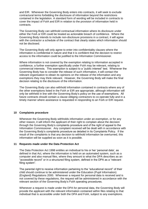and EIR. Whenever the Governing Body enters into contracts, it will seek to exclude contractural terms forbidding the disclosure of information beyond the restrictions contained in the legislation. A standard form of wording will be included in contracts to cover the impact of FoIA and EIR in relation to the provision of information held in contracts.

The Governing Body can withhold contractual information where its disclosure under either the FoIA or EIR could be treated as actionable breach of confidence. Where the Governing Body intends to include non-disclosure provisions in a contract, it will agree with the contractor a schedule of the contract that clearly states which information should not be disclosed.

The Governing Body will only agree to enter into confidentiality clauses where the information is confidential in nature and that it is confident that the decision to restrict access to the information could be justified to the Information Commissioner.

Where information is not covered by the exemption relating to information accepted in confidence, a further exemption specifically under FoIA may be relevant, relating to commercial interests. This exemption is subject to a "public interest" test. Whenever the Governing Body has to consider the release of such information, it will contact the relevant organisation to obtain its opinions on the release of the information and any exemptions they may think relevant. However, the Governing Body will make the final decision relating to the disclosure of the information.

The Governing Body can also withhold information contained in contracts where any of the other exemptions listed in the FoIA or EIR are appropriate, although information will only be withheld in line with the Governing Body's policy on the use of exemptions. All future contracts should contain a clause obliging contractors to co-operate fully and in a timely manner where assistance is requested in responding to an FoIA or EIR request.

#### **10 Complaints procedure**

Whenever the Governing Body withholds information under an exemption, or for any other reason, it will inform the applicant of their right to complain about the decision through the Governing Body's complaints procedure and of the right of appeal to the Information Commissioner. Any complaint received will be dealt with in accordance with the Governing Body's complaints procedure as detailed in its Complaints Policy. If the result of the complaints is that any decision to withhold information be overturned, this information will be supplied as soon as it is possible.

#### **11 Requests made under the Data Protection Act**

The Data Protection Act 1998 entitles an individual to his or her 'personal data', as defined in that Act, where the information is held on an automated system, such as a computer and also manual files, where they amount to what the DPA describes as an "accessible record" or in a structured filing system, defined in the DPA as a "relevant filing system".

The parental right to receive information pertaining to the "educational record" of their child should continue to be administered under the Education (Pupil Information) (England) Regulations 2000. Whenever a request for personal data is received and is not covered by these regulations, the request will be administered in accordance with the relevant section of the Governing Body's FoIA operating procedures.

Whenever a request is made under the DPA for personal data, the Governing Body will provide the applicant with the relevant information contained within files relating to that individual that is accessible under both the DPA and FoIA, subject to any exemptions.